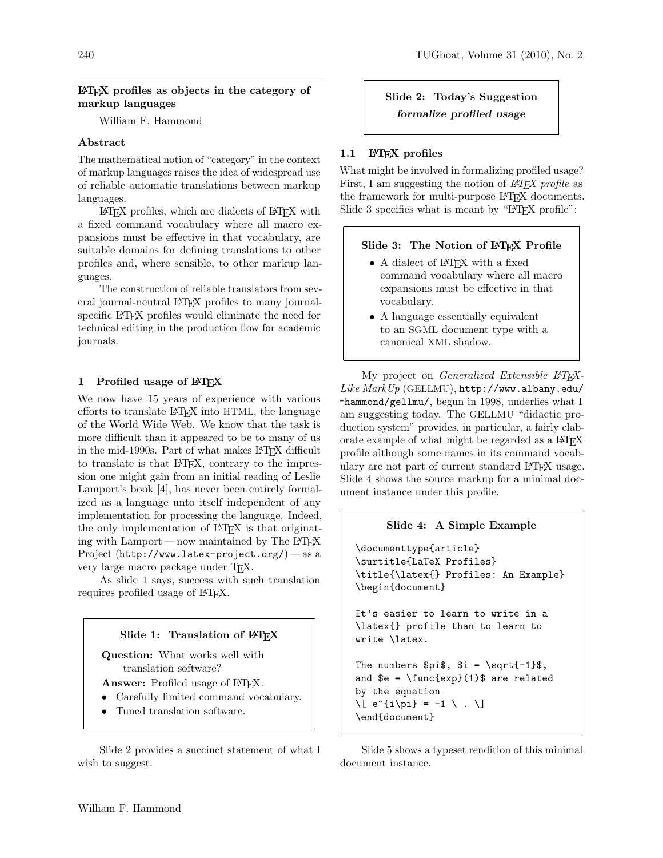# LATEX profiles as objects in the category of markup languages

William F. Hammond

# Abstract

The mathematical notion of "category" in the context of markup languages raises the idea of widespread use of reliable automatic translations between markup languages.

LATEX profiles, which are dialects of LATEX with a fixed command vocabulary where all macro expansions must be effective in that vocabulary, are suitable domains for defining translations to other profiles and, where sensible, to other markup languages.

The construction of reliable translators from several journal-neutral LATEX profiles to many journalspecific LATEX profiles would eliminate the need for technical editing in the production flow for academic journals.

# 1 Profiled usage of L<sup>AT</sup>EX

We now have 15 years of experience with various efforts to translate LATEX into HTML, the language of the World Wide Web. We know that the task is more difficult than it appeared to be to many of us in the mid-1990s. Part of what makes LAT<sub>EX</sub> difficult to translate is that LATEX, contrary to the impression one might gain from an initial reading of Leslie Lamport's book [4], has never been entirely formalized as a language unto itself independent of any implementation for processing the language. Indeed, the only implementation of LATEX is that originating with Lamport—now maintained by The  $\angle$ FFX Project (http://www.latex-project.org/) — as a very large macro package under TEX.

As slide 1 says, success with such translation requires profiled usage of LAT<sub>EX</sub>.



Question: What works well with translation software?

Answer: Profiled usage of IAT<sub>F</sub>X.

- Carefully limited command vocabulary.
- Tuned translation software.

Slide 2 provides a succinct statement of what I wish to suggest.

# Slide 2: Today's Suggestion formalize profiled usage

# 1.1 **LATEX** profiles

What might be involved in formalizing profiled usage? First, I am suggesting the notion of *L<sup>AT</sup>FX* profile as the framework for multi-purpose LAT<sub>EX</sub> documents. Slide 3 specifies what is meant by "LAT<sub>EX</sub> profile":

# Slide 3: The Notion of LATEX Profile

- A dialect of LAT<sub>EX</sub> with a fixed command vocabulary where all macro expansions must be effective in that vocabulary.
- A language essentially equivalent to an SGML document type with a canonical XML shadow.

My project on Generalized Extensible L<sup>AT</sup>EX-Like  $MarkUp$  (GELLMU), http://www.albany.edu/ ~hammond/gellmu/, begun in 1998, underlies what I am suggesting today. The GELLMU "didactic production system" provides, in particular, a fairly elaborate example of what might be regarded as a LATEX profile although some names in its command vocabulary are not part of current standard LATEX usage. Slide 4 shows the source markup for a minimal document instance under this profile.

# Slide 4: A Simple Example \documenttype{article} \surtitle{LaTeX Profiles} \title{\latex{} Profiles: An Example} \begin{document} It's easier to learn to write in a \latex{} profile than to learn to write \latex. The numbers  $\pi, \hat{t} = \sqrt{ -1} \$ , and  $e = \frac{exp}{1)}$  are related by the equation  $\{e^{i}\} = -1 \ \ . \ \ 1$ \end{document}

Slide 5 shows a typeset rendition of this minimal document instance.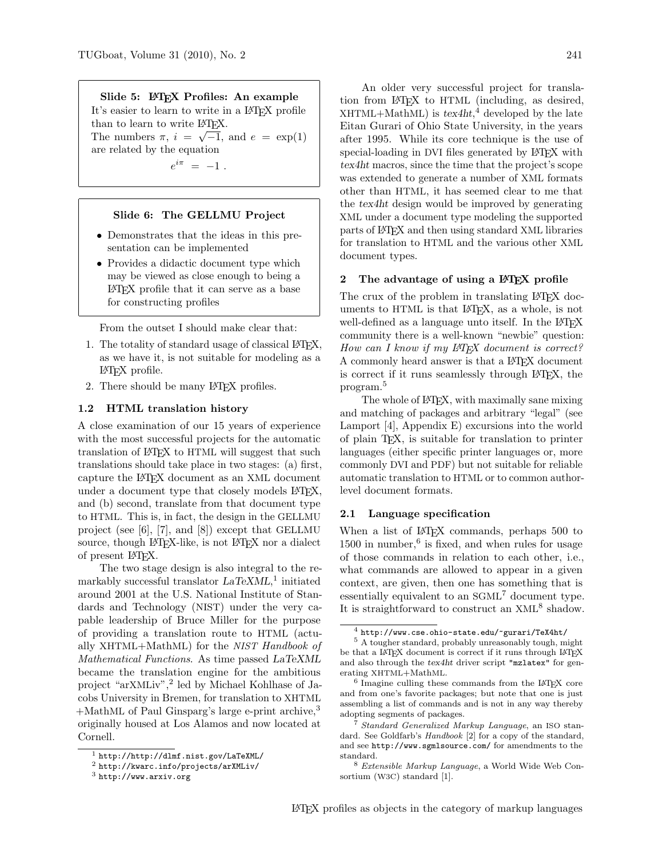Slide 5: LATEX Profiles: An example

It's easier to learn to write in a LAT<sub>F</sub>X profile than to learn to write  $\mathbb{F}_K$ . The numbers  $\pi$ ,  $i = \sqrt{-1}$ , and  $e = \exp(1)$ are related by the equation

 $e^{i\pi} = -1$ .

#### Slide 6: The GELLMU Project

- Demonstrates that the ideas in this presentation can be implemented
- Provides a didactic document type which may be viewed as close enough to being a LATEX profile that it can serve as a base for constructing profiles

From the outset I should make clear that:

- 1. The totality of standard usage of classical LATEX, as we have it, is not suitable for modeling as a LATEX profile.
- 2. There should be many LATEX profiles.

#### 1.2 HTML translation history

A close examination of our 15 years of experience with the most successful projects for the automatic translation of LATEX to HTML will suggest that such translations should take place in two stages: (a) first, capture the LATEX document as an XML document under a document type that closely models LAT<sub>EX</sub>, and (b) second, translate from that document type to HTML. This is, in fact, the design in the GELLMU project (see [6], [7], and [8]) except that GELLMU source, though LAT<sub>EX</sub>-like, is not LAT<sub>EX</sub> nor a dialect of present LATEX.

The two stage design is also integral to the remarkably successful translator  $LaTeXML$ <sup>1</sup> initiated around 2001 at the U.S. National Institute of Standards and Technology (NIST) under the very capable leadership of Bruce Miller for the purpose of providing a translation route to HTML (actually XHTML+MathML) for the NIST Handbook of Mathematical Functions. As time passed LaTeXML became the translation engine for the ambitious project "arXMLiv",<sup>2</sup> led by Michael Kohlhase of Jacobs University in Bremen, for translation to XHTML  $+$ MathML of Paul Ginsparg's large e-print archive,<sup>3</sup> originally housed at Los Alamos and now located at Cornell.

An older very successful project for translation from LATEX to HTML (including, as desired,  $XHTML+MathML$ ) is  $texthi 4$  developed by the late Eitan Gurari of Ohio State University, in the years after 1995. While its core technique is the use of special-loading in DVI files generated by LAT<sub>EX</sub> with tex4ht macros, since the time that the project's scope was extended to generate a number of XML formats other than HTML, it has seemed clear to me that the tex4ht design would be improved by generating XML under a document type modeling the supported parts of LATEX and then using standard XML libraries for translation to HTML and the various other XML document types.

### 2 The advantage of using a IATEX profile

The crux of the problem in translating LAT<sub>EX</sub> documents to HTML is that L<sup>AT</sup>FX, as a whole, is not well-defined as a language unto itself. In the LAT<sub>EX</sub> community there is a well-known "newbie" question: How can I know if my IAT<sub>F</sub>X document is correct? A commonly heard answer is that a LATEX document is correct if it runs seamlessly through LATEX, the program.<sup>5</sup>

The whole of LAT<sub>EX</sub>, with maximally sane mixing and matching of packages and arbitrary "legal" (see Lamport [4], Appendix E) excursions into the world of plain TEX, is suitable for translation to printer languages (either specific printer languages or, more commonly DVI and PDF) but not suitable for reliable automatic translation to HTML or to common authorlevel document formats.

#### 2.1 Language specification

When a list of LAT<sub>EX</sub> commands, perhaps 500 to  $1500$  in number,  $6$  is fixed, and when rules for usage of those commands in relation to each other, i.e., what commands are allowed to appear in a given context, are given, then one has something that is essentially equivalent to an  $S\text{GML}^7$  document type. It is straightforward to construct an XML<sup>8</sup> shadow.

<sup>1</sup> http://http://dlmf.nist.gov/LaTeXML/

 $^{2}$  http://kwarc.info/projects/arXMLiv/

<sup>3</sup> http://www.arxiv.org

<sup>4</sup> http://www.cse.ohio-state.edu/~gurari/TeX4ht/

<sup>5</sup> A tougher standard, probably unreasonably tough, might be that a LATEX document is correct if it runs through LATEX and also through the tex4ht driver script "mzlatex" for generating XHTML+MathML.

 $^6$  Imagine culling these commands from the  $\rm \,I4TEX$  core and from one's favorite packages; but note that one is just assembling a list of commands and is not in any way thereby adopting segments of packages.

<sup>7</sup> Standard Generalized Markup Language, an ISO standard. See Goldfarb's *Handbook* [2] for a copy of the standard, and see http://www.sgmlsource.com/ for amendments to the standard.

<sup>8</sup> Extensible Markup Language, a World Wide Web Consortium (W3C) standard [1].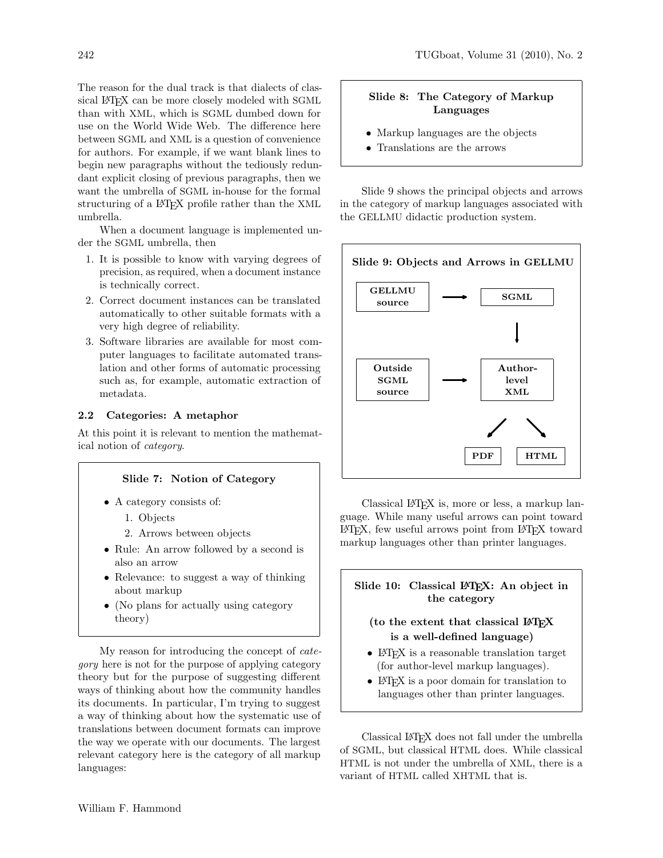The reason for the dual track is that dialects of classical LAT<sub>EX</sub> can be more closely modeled with SGML than with XML, which is SGML dumbed down for use on the World Wide Web. The difference here between SGML and XML is a question of convenience for authors. For example, if we want blank lines to begin new paragraphs without the tediously redundant explicit closing of previous paragraphs, then we want the umbrella of SGML in-house for the formal structuring of a L<sup>AT</sup>FX profile rather than the XML umbrella.

When a document language is implemented under the SGML umbrella, then

- 1. It is possible to know with varying degrees of precision, as required, when a document instance is technically correct.
- 2. Correct document instances can be translated automatically to other suitable formats with a very high degree of reliability.
- 3. Software libraries are available for most computer languages to facilitate automated translation and other forms of automatic processing such as, for example, automatic extraction of metadata.

# 2.2 Categories: A metaphor

At this point it is relevant to mention the mathematical notion of category.

# Slide 7: Notion of Category

- A category consists of:
	- 1. Objects
	- 2. Arrows between objects
- Rule: An arrow followed by a second is also an arrow
- Relevance: to suggest a way of thinking about markup
- (No plans for actually using category theory)

My reason for introducing the concept of category here is not for the purpose of applying category theory but for the purpose of suggesting different ways of thinking about how the community handles its documents. In particular, I'm trying to suggest a way of thinking about how the systematic use of translations between document formats can improve the way we operate with our documents. The largest relevant category here is the category of all markup languages:

# Slide 8: The Category of Markup Languages

- Markup languages are the objects
- Translations are the arrows

Slide 9 shows the principal objects and arrows in the category of markup languages associated with the GELLMU didactic production system.



Classical LATEX is, more or less, a markup language. While many useful arrows can point toward LATEX, few useful arrows point from LATEX toward markup languages other than printer languages.

# Slide 10: Classical LAT<sub>EX</sub>: An object in the category

# (to the extent that classical LATEX is a well-defined language)

- LAT<sub>F</sub>X is a reasonable translation target (for author-level markup languages).
- LAT<sub>F</sub>X is a poor domain for translation to languages other than printer languages.

Classical LATEX does not fall under the umbrella of SGML, but classical HTML does. While classical HTML is not under the umbrella of XML, there is a variant of HTML called XHTML that is.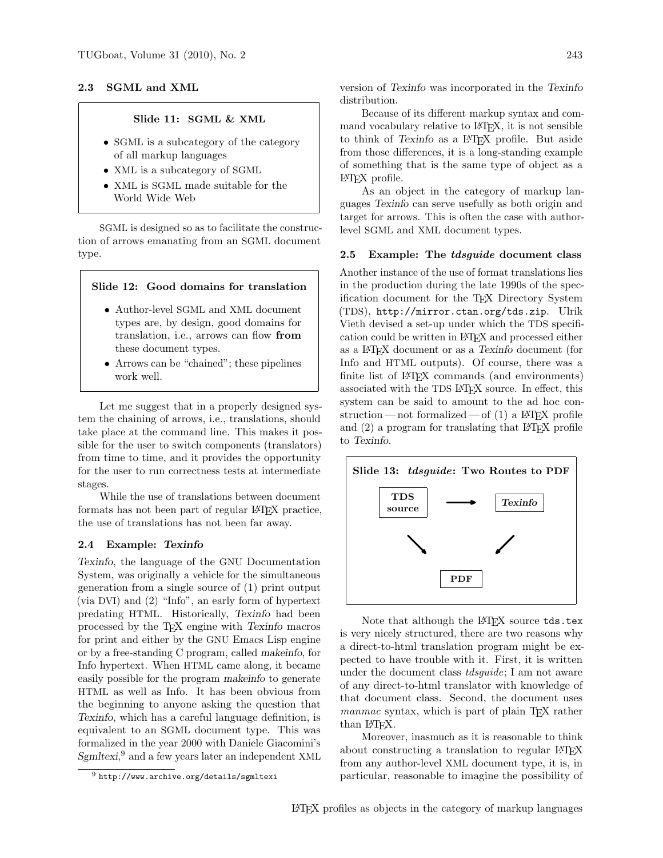#### 2.3 SGML and XML

# Slide 11: SGML & XML

- SGML is a subcategory of the category of all markup languages
- XML is a subcategory of SGML
- XML is SGML made suitable for the World Wide Web

SGML is designed so as to facilitate the construction of arrows emanating from an SGML document type.

#### Slide 12: Good domains for translation

- Author-level SGML and XML document types are, by design, good domains for translation, i.e., arrows can flow from these document types.
- Arrows can be "chained"; these pipelines work well.

Let me suggest that in a properly designed system the chaining of arrows, i.e., translations, should take place at the command line. This makes it possible for the user to switch components (translators) from time to time, and it provides the opportunity for the user to run correctness tests at intermediate stages.

While the use of translations between document formats has not been part of regular LATEX practice, the use of translations has not been far away.

#### 2.4 Example: Texinfo

Texinfo, the language of the GNU Documentation System, was originally a vehicle for the simultaneous generation from a single source of (1) print output (via DVI) and (2) "Info", an early form of hypertext predating HTML. Historically, Texinfo had been processed by the TEX engine with Texinfo macros for print and either by the GNU Emacs Lisp engine or by a free-standing C program, called makeinfo, for Info hypertext. When HTML came along, it became easily possible for the program makeinfo to generate HTML as well as Info. It has been obvious from the beginning to anyone asking the question that Texinfo, which has a careful language definition, is equivalent to an SGML document type. This was formalized in the year 2000 with Daniele Giacomini's Sgmltexi,<sup>9</sup> and a few years later an independent XML

version of Texinfo was incorporated in the Texinfo distribution.

Because of its different markup syntax and command vocabulary relative to LAT<sub>F</sub>X, it is not sensible to think of Texinfo as a LATEX profile. But aside from those differences, it is a long-standing example of something that is the same type of object as a LATEX profile.

As an object in the category of markup languages Texinfo can serve usefully as both origin and target for arrows. This is often the case with authorlevel SGML and XML document types.

## 2.5 Example: The tdsguide document class

Another instance of the use of format translations lies in the production during the late 1990s of the specification document for the TEX Directory System (TDS), http://mirror.ctan.org/tds.zip. Ulrik Vieth devised a set-up under which the TDS specification could be written in LATEX and processed either as a LATEX document or as a Texinfo document (for Info and HTML outputs). Of course, there was a finite list of LAT<sub>EX</sub> commands (and environments) associated with the TDS LATEX source. In effect, this system can be said to amount to the ad hoc construction—not formalized—of  $(1)$  a LAT<sub>F</sub>X profile and (2) a program for translating that LATEX profile to Texinfo.



Note that although the LAT<sub>EX</sub> source tds.tex is very nicely structured, there are two reasons why a direct-to-html translation program might be expected to have trouble with it. First, it is written under the document class *tdsguide*; I am not aware of any direct-to-html translator with knowledge of that document class. Second, the document uses manmac syntax, which is part of plain T<sub>E</sub>X rather than LAT<sub>F</sub>X.

Moreover, inasmuch as it is reasonable to think about constructing a translation to regular LATEX from any author-level XML document type, it is, in particular, reasonable to imagine the possibility of

 $9$  http://www.archive.org/details/sgmltexi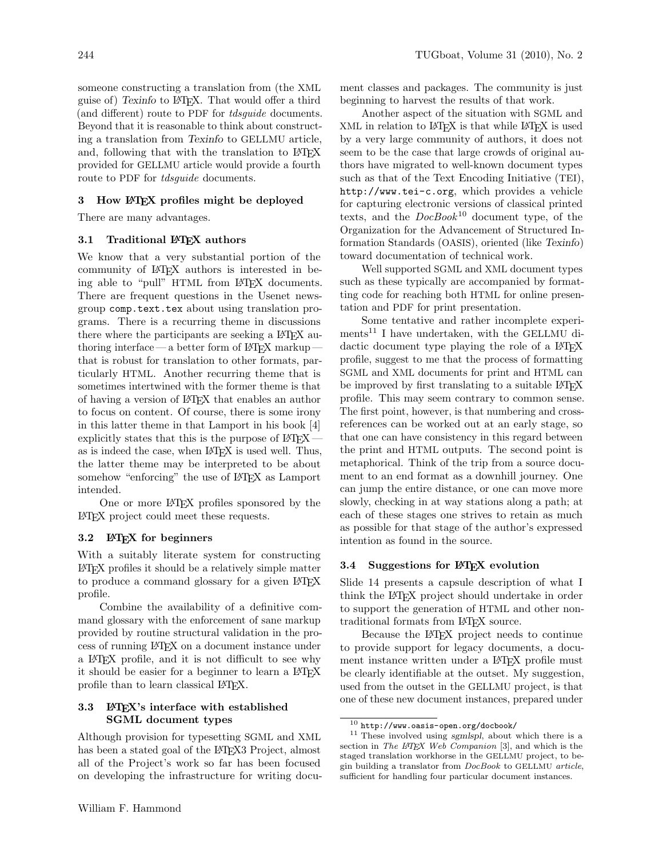someone constructing a translation from (the XML guise of) Texinfo to LATEX. That would offer a third (and different) route to PDF for tdsguide documents. Beyond that it is reasonable to think about constructing a translation from Texinfo to GELLMU article, and, following that with the translation to LATEX provided for GELLMU article would provide a fourth route to PDF for *tdsguide* documents.

# 3 How LATEX profiles might be deployed

There are many advantages.

# 3.1 Traditional LAT<sub>F</sub>X authors

We know that a very substantial portion of the community of LATEX authors is interested in being able to "pull" HTML from LAT<sub>FX</sub> documents. There are frequent questions in the Usenet newsgroup comp.text.tex about using translation programs. There is a recurring theme in discussions there where the participants are seeking a LAT<sub>EX</sub> authoring interface — a better form of LAT<sub>EX</sub> markup that is robust for translation to other formats, particularly HTML. Another recurring theme that is sometimes intertwined with the former theme is that of having a version of LATEX that enables an author to focus on content. Of course, there is some irony in this latter theme in that Lamport in his book [4] explicitly states that this is the purpose of LATEX as is indeed the case, when LAT<sub>F</sub>X is used well. Thus, the latter theme may be interpreted to be about somehow "enforcing" the use of IATEX as Lamport intended.

One or more LATEX profiles sponsored by the LATEX project could meet these requests.

#### 3.2 LATEX for beginners

With a suitably literate system for constructing LATEX profiles it should be a relatively simple matter to produce a command glossary for a given LATEX profile.

Combine the availability of a definitive command glossary with the enforcement of sane markup provided by routine structural validation in the process of running LATEX on a document instance under a LATEX profile, and it is not difficult to see why it should be easier for a beginner to learn a LAT<sub>EX</sub> profile than to learn classical LATEX.

# 3.3 LATEX's interface with established SGML document types

Although provision for typesetting SGML and XML has been a stated goal of the LATEX3 Project, almost all of the Project's work so far has been focused on developing the infrastructure for writing document classes and packages. The community is just beginning to harvest the results of that work.

Another aspect of the situation with SGML and XML in relation to LATEX is that while LATEX is used by a very large community of authors, it does not seem to be the case that large crowds of original authors have migrated to well-known document types such as that of the Text Encoding Initiative (TEI), http://www.tei-c.org, which provides a vehicle for capturing electronic versions of classical printed texts, and the  $DocBook^{10}$  document type, of the Organization for the Advancement of Structured Information Standards (OASIS), oriented (like Texinfo) toward documentation of technical work.

Well supported SGML and XML document types such as these typically are accompanied by formatting code for reaching both HTML for online presentation and PDF for print presentation.

Some tentative and rather incomplete experi $ments<sup>11</sup>$  I have undertaken, with the GELLMU didactic document type playing the role of a LAT<sub>EX</sub> profile, suggest to me that the process of formatting SGML and XML documents for print and HTML can be improved by first translating to a suitable LAT<sub>EX</sub> profile. This may seem contrary to common sense. The first point, however, is that numbering and crossreferences can be worked out at an early stage, so that one can have consistency in this regard between the print and HTML outputs. The second point is metaphorical. Think of the trip from a source document to an end format as a downhill journey. One can jump the entire distance, or one can move more slowly, checking in at way stations along a path; at each of these stages one strives to retain as much as possible for that stage of the author's expressed intention as found in the source.

## 3.4 Suggestions for LAT<sub>EX</sub> evolution

Slide 14 presents a capsule description of what I think the LATEX project should undertake in order to support the generation of HTML and other nontraditional formats from LATEX source.

Because the LATEX project needs to continue to provide support for legacy documents, a document instance written under a LAT<sub>EX</sub> profile must be clearly identifiable at the outset. My suggestion, used from the outset in the GELLMU project, is that one of these new document instances, prepared under

 $^{10}$ http://www.oasis-open.org/docbook/

 $11$  These involved using sgmlspl, about which there is a section in The LATEX Web Companion [3], and which is the staged translation workhorse in the GELLMU project, to begin building a translator from DocBook to GELLMU article, sufficient for handling four particular document instances.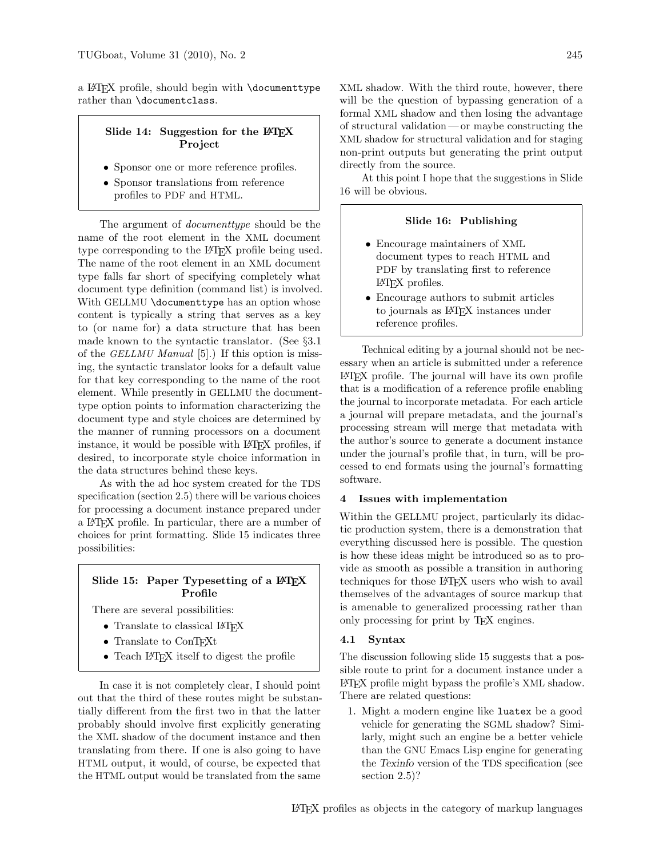a LATEX profile, should begin with \documenttype rather than \documentclass.

# Slide 14: Suggestion for the L<sup>AT</sup>EX Project

- Sponsor one or more reference profiles.
- Sponsor translations from reference profiles to PDF and HTML.

The argument of documenttype should be the name of the root element in the XML document type corresponding to the L<sup>AT</sup>EX profile being used. The name of the root element in an XML document type falls far short of specifying completely what document type definition (command list) is involved. With GELLMU \documenttype has an option whose content is typically a string that serves as a key to (or name for) a data structure that has been made known to the syntactic translator. (See §3.1 of the GELLMU Manual [5].) If this option is missing, the syntactic translator looks for a default value for that key corresponding to the name of the root element. While presently in GELLMU the documenttype option points to information characterizing the document type and style choices are determined by the manner of running processors on a document instance, it would be possible with LAT<sub>EX</sub> profiles, if desired, to incorporate style choice information in the data structures behind these keys.

As with the ad hoc system created for the TDS specification (section 2.5) there will be various choices for processing a document instance prepared under a LATEX profile. In particular, there are a number of choices for print formatting. Slide 15 indicates three possibilities:

# Slide 15: Paper Typesetting of a  $\mathbb{P}$ TFX Profile

There are several possibilities:

- Translate to classical LATEX
- Translate to ConTEXt
- Teach LAT<sub>F</sub>X itself to digest the profile

In case it is not completely clear, I should point out that the third of these routes might be substantially different from the first two in that the latter probably should involve first explicitly generating the XML shadow of the document instance and then translating from there. If one is also going to have HTML output, it would, of course, be expected that the HTML output would be translated from the same

XML shadow. With the third route, however, there will be the question of bypassing generation of a formal XML shadow and then losing the advantage of structural validation — or maybe constructing the XML shadow for structural validation and for staging non-print outputs but generating the print output directly from the source.

At this point I hope that the suggestions in Slide 16 will be obvious.

## Slide 16: Publishing

- Encourage maintainers of XML document types to reach HTML and PDF by translating first to reference LATEX profiles.
- Encourage authors to submit articles to journals as LATEX instances under reference profiles.

Technical editing by a journal should not be necessary when an article is submitted under a reference LATEX profile. The journal will have its own profile that is a modification of a reference profile enabling the journal to incorporate metadata. For each article a journal will prepare metadata, and the journal's processing stream will merge that metadata with the author's source to generate a document instance under the journal's profile that, in turn, will be processed to end formats using the journal's formatting software.

# 4 Issues with implementation

Within the GELLMU project, particularly its didactic production system, there is a demonstration that everything discussed here is possible. The question is how these ideas might be introduced so as to provide as smooth as possible a transition in authoring techniques for those LATEX users who wish to avail themselves of the advantages of source markup that is amenable to generalized processing rather than only processing for print by TEX engines.

#### 4.1 Syntax

The discussion following slide 15 suggests that a possible route to print for a document instance under a LATEX profile might bypass the profile's XML shadow. There are related questions:

1. Might a modern engine like luatex be a good vehicle for generating the SGML shadow? Similarly, might such an engine be a better vehicle than the GNU Emacs Lisp engine for generating the Texinfo version of the TDS specification (see section 2.5)?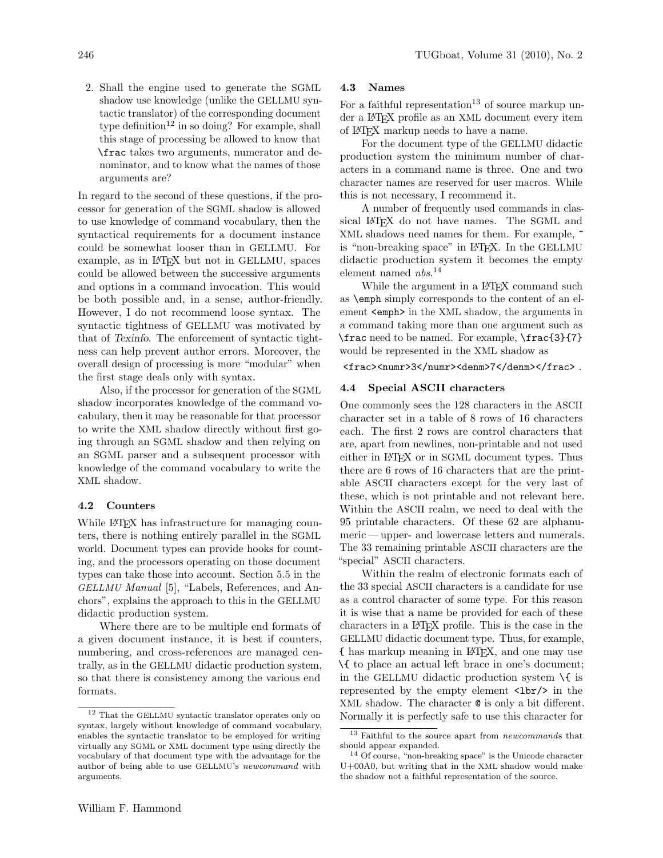2. Shall the engine used to generate the SGML shadow use knowledge (unlike the GELLMU syntactic translator) of the corresponding document type definition<sup>12</sup> in so doing? For example, shall this stage of processing be allowed to know that \frac takes two arguments, numerator and denominator, and to know what the names of those arguments are?

In regard to the second of these questions, if the processor for generation of the SGML shadow is allowed to use knowledge of command vocabulary, then the syntactical requirements for a document instance could be somewhat looser than in GELLMU. For example, as in LATEX but not in GELLMU, spaces could be allowed between the successive arguments and options in a command invocation. This would be both possible and, in a sense, author-friendly. However, I do not recommend loose syntax. The syntactic tightness of GELLMU was motivated by that of Texinfo. The enforcement of syntactic tightness can help prevent author errors. Moreover, the overall design of processing is more "modular" when the first stage deals only with syntax.

Also, if the processor for generation of the SGML shadow incorporates knowledge of the command vocabulary, then it may be reasonable for that processor to write the XML shadow directly without first going through an SGML shadow and then relying on an SGML parser and a subsequent processor with knowledge of the command vocabulary to write the XML shadow.

## 4.2 Counters

While L<sup>AT</sup>FX has infrastructure for managing counters, there is nothing entirely parallel in the SGML world. Document types can provide hooks for counting, and the processors operating on those document types can take those into account. Section 5.5 in the GELLMU Manual [5], "Labels, References, and Anchors", explains the approach to this in the GELLMU didactic production system.

Where there are to be multiple end formats of a given document instance, it is best if counters, numbering, and cross-references are managed centrally, as in the GELLMU didactic production system, so that there is consistency among the various end formats.

### 4.3 Names

For a faithful representation<sup>13</sup> of source markup under a LATEX profile as an XML document every item of LATEX markup needs to have a name.

For the document type of the GELLMU didactic production system the minimum number of characters in a command name is three. One and two character names are reserved for user macros. While this is not necessary, I recommend it.

A number of frequently used commands in classical LAT<sub>EX</sub> do not have names. The SGML and XML shadows need names for them. For example, ~ is "non-breaking space" in LATEX. In the GELLMU didactic production system it becomes the empty element named  $nbs.$ <sup>14</sup>

While the argument in a L<sup>AT</sup>FX command such as \emph simply corresponds to the content of an element <emph> in the XML shadow, the arguments in a command taking more than one argument such as \frac need to be named. For example, \frac{3}{7} would be represented in the XML shadow as

<frac><numr>3</numr><denm>7</denm></frac>.

#### 4.4 Special ASCII characters

One commonly sees the 128 characters in the ASCII character set in a table of 8 rows of 16 characters each. The first 2 rows are control characters that are, apart from newlines, non-printable and not used either in LATEX or in SGML document types. Thus there are 6 rows of 16 characters that are the printable ASCII characters except for the very last of these, which is not printable and not relevant here. Within the ASCII realm, we need to deal with the 95 printable characters. Of these 62 are alphanumeric— upper- and lowercase letters and numerals. The 33 remaining printable ASCII characters are the "special" ASCII characters.

Within the realm of electronic formats each of the 33 special ASCII characters is a candidate for use as a control character of some type. For this reason it is wise that a name be provided for each of these characters in a LATEX profile. This is the case in the GELLMU didactic document type. Thus, for example, { has markup meaning in LATEX, and one may use \{ to place an actual left brace in one's document; in the GELLMU didactic production system  $\setminus \{$  is represented by the empty element <lbr/>br/> in the XML shadow. The character @ is only a bit different. Normally it is perfectly safe to use this character for

<sup>12</sup> That the GELLMU syntactic translator operates only on syntax, largely without knowledge of command vocabulary, enables the syntactic translator to be employed for writing virtually any SGML or XML document type using directly the vocabulary of that document type with the advantage for the author of being able to use GELLMU's newcommand with arguments.

<sup>&</sup>lt;sup>13</sup> Faithful to the source apart from *newcommands* that should appear expanded.

<sup>14</sup> Of course, "non-breaking space" is the Unicode character U+00A0, but writing that in the XML shadow would make the shadow not a faithful representation of the source.